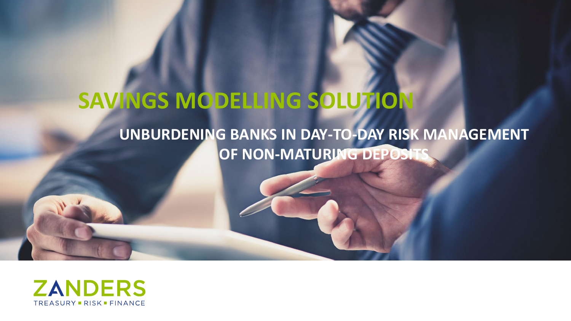# **SAVINGS MODELLING SOLUTION**

### **UNBURDENING BANKS IN DAY-TO-DAY RISK MANAGEMENT OF NON-MATURING DEPOSIT**

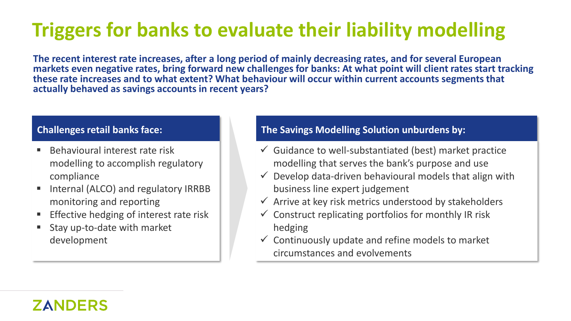# **Triggers for banks to evaluate their liability modelling**

**The recent interest rate increases, after a long period of mainly decreasing rates, and for several European markets even negative rates, bring forward new challenges for banks: At what point will client rates start tracking these rate increases and to what extent? What behaviour will occur within current accounts segments that actually behaved as savings accounts in recent years?**

- Behavioural interest rate risk modelling to accomplish regulatory compliance
- Internal (ALCO) and regulatory IRRBB monitoring and reporting
- Effective hedging of interest rate risk
- Stay up-to-date with market development

#### **Challenges retail banks face: The Savings Modelling Solution unburdens by:**

- $\checkmark$  Guidance to well-substantiated (best) market practice modelling that serves the bank's purpose and use
- $\checkmark$  Develop data-driven behavioural models that align with business line expert judgement
- $\checkmark$  Arrive at key risk metrics understood by stakeholders
- $\checkmark$  Construct replicating portfolios for monthly IR risk hedging
- $\checkmark$  Continuously update and refine models to market circumstances and evolvements

### **ZANDERS**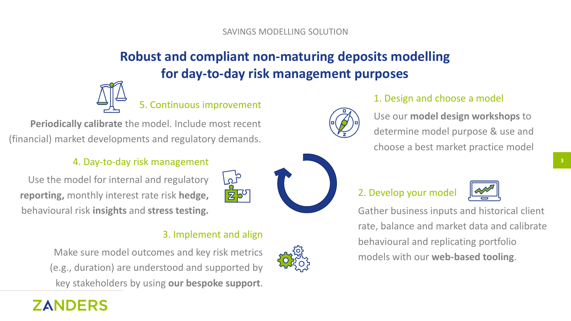### **Robust and compliant non-maturing deposits modelling for day-to-day risk management purposes**



5. Continuous improvement

**Periodically calibrate** the model. Include most recent (financial) market developments and regulatory demands.

#### 4. Day-to-day risk management

Use the model for internal and regulatory **reporting,** monthly interest rate risk **hedge,** behavioural risk **insights** and **stress testing.**

#### 3. Implement and align

 $20$ 



1. Design and choose a model

Use our **model design workshops** to determine model purpose & use and choose a best market practice model

#### 2. Develop your model



Gather business inputs and historical client rate, balance and market data and calibrate behavioural and replicating portfolio models with our **web-based tooling**.

Make sure model outcomes and key risk metrics (e.g., duration) are understood and supported by key stakeholders by using **our bespoke support**.

### **ZANDERS**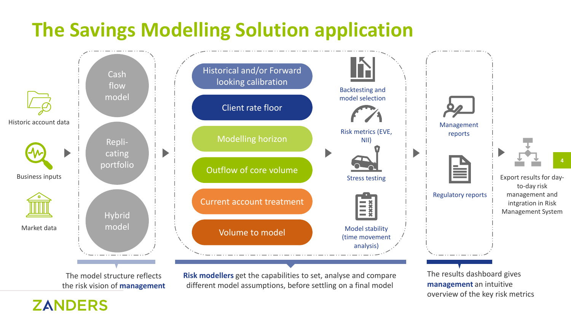# **The Savings Modelling Solution application**



The model structure reflects the risk vision of **management**

**ZANDERS** 

**Risk modellers** get the capabilities to set, analyse and compare different model assumptions, before settling on a final model

The results dashboard gives **management** an intuitive overview of the key risk metrics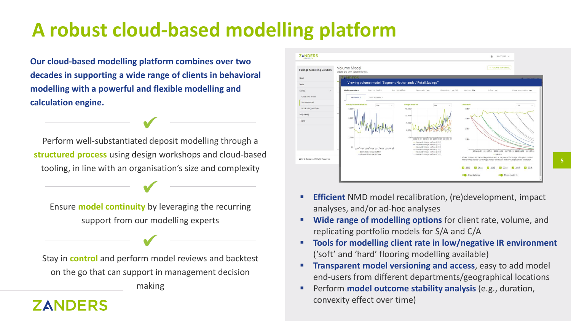# **A robust cloud-based modelling platform**

**Our cloud-based modelling platform combines over two decades in supporting a wide range of clients in behavioral modelling with a powerful and flexible modelling and calculation engine.**

Perform well-substantiated deposit modelling through a **structured process** using design workshops and cloud-based tooling, in line with an organisation's size and complexity

Ensure **model continuity** by leveraging the recurring support from our modelling experts

Stay in **control** and perform model reviews and backtest on the go that can support in management decision making

**ZANDERS** 

### **ZANDERS** ACCOUNT + CREATE NEW MOD Savings Modelling Solution Viewing volume model "Segment Netherlands / Retail Savings"Client rate mod Volume mode 14.10.31 2016.03.31 2017.08.31 2019.4

**Efficient** NMD model recalibration, (re)development, impact analyses, and/or ad-hoc analyses

**5**

- **Wide range of modelling options** for client rate, volume, and replicating portfolio models for S/A and C/A
- **Tools for modelling client rate in low/negative IR environment**  ('soft' and 'hard' flooring modelling available)
- **Transparent model versioning and access, easy to add model** end-users from different departments/geographical locations
- **EXPEDENT PERFORM MODEL OUTCOME STABIlity analysis (e.g., duration,** convexity effect over time)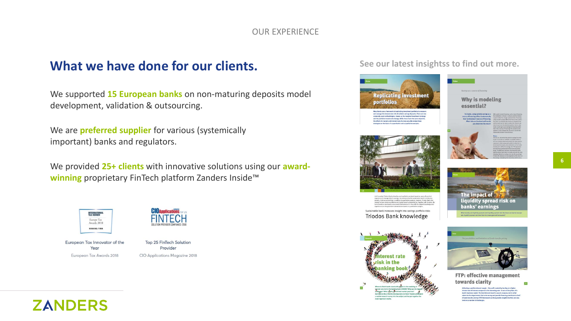#### OUR EXPERIENCE

### **What we have done for our clients.**

We supported **15 European banks** on non-maturing deposits model development, validation & outsourcing.

We are **preferred supplier** for various (systemically important) banks and regulators.

We provided **25+ clients** with innovative solutions using our **awardwinning** proprietary FinTech platform Zanders Inside™



European Tax Innovator of the Year European Tax Awards 2018



Top 25 FinTech Solution Provider CIO Applications Magazine 2018

#### **See our latest insightss to find out more.**